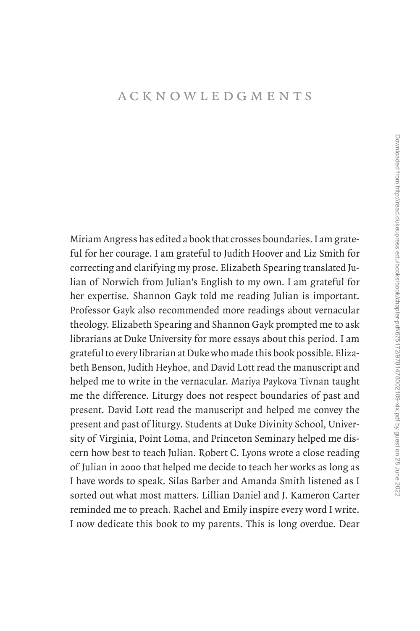## [acknowledgments](#page--1-0)

Miriam Angress has edited a book that crosses boundaries. I am grateful for her courage. I am grateful to Judith Hoover and Liz Smith for correcting and clarifying my prose. Elizabeth Spearing translated Julian of Norwich from Julian's English to my own. I am grateful for her expertise. Shannon Gayk told me reading Julian is important. Professor Gayk also recommended more readings about vernacular theology. Elizabeth Spearing and Shannon Gayk prompted me to ask librarians at Duke University for more essays about this period. I am grateful to every librarian at Duke who made this book possible. Elizabeth Benson, Judith Heyhoe, and David Lott read the manuscript and helped me to write in the vernacular. Mariya Paykova Tivnan taught me the difference. Liturgy does not respect boundaries of past and present. David Lott read the manuscript and helped me convey the present and past of liturgy. Students at Duke Divinity School, University of Virginia, Point Loma, and Princeton Seminary helped me discern how best to teach Julian. Robert C. Lyons wrote a close reading of Julian in 2000 that helped me decide to teach her works as long as I have words to speak. Silas Barber and Amanda Smith listened as I sorted out what most matters. Lillian Daniel and J. Kameron Carter reminded me to preach. Rachel and Emily inspire every word I write. I now dedicate this book to my parents. This is long overdue. Dear